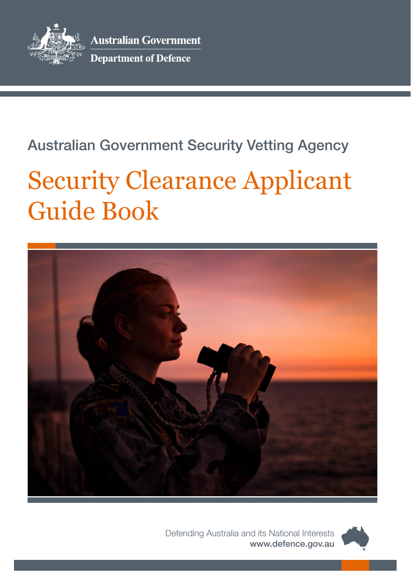

# Australian Government Security Vetting Agency

# Security Clearance Applicant Guide Book



Defending Australia and its National Interests [www.defence.gov.au](http://www.defence.gov.au)

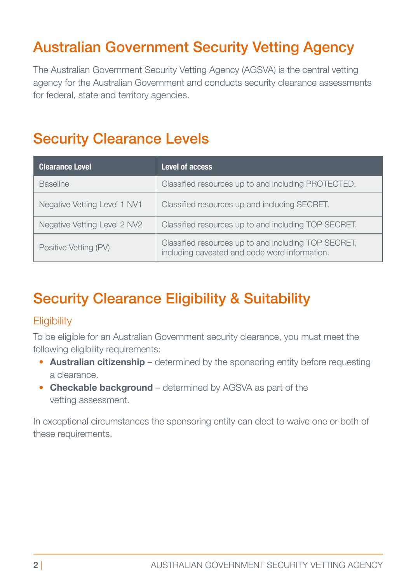# Australian Government Security Vetting Agency

The Australian Government Security Vetting Agency (AGSVA) is the central vetting agency for the Australian Government and conducts security clearance assessments for federal, state and territory agencies.

### Security Clearance Levels

| <b>Clearance Level</b>       | Level of access                                                                                       |
|------------------------------|-------------------------------------------------------------------------------------------------------|
| <b>Baseline</b>              | Classified resources up to and including PROTECTED.                                                   |
| Negative Vetting Level 1 NV1 | Classified resources up and including SECRET.                                                         |
| Negative Vetting Level 2 NV2 | Classified resources up to and including TOP SECRET.                                                  |
| Positive Vetting (PV)        | Classified resources up to and including TOP SECRET,<br>including caveated and code word information. |

# Security Clearance Eligibility & Suitability

### **Eligibility**

To be eligible for an Australian Government security clearance, you must meet the following eligibility requirements:

- **Australian citizenship** determined by the sponsoring entity before requesting a clearance.
- **Checkable background** determined by AGSVA as part of the vetting assessment.

In exceptional circumstances the sponsoring entity can elect to waive one or both of these requirements.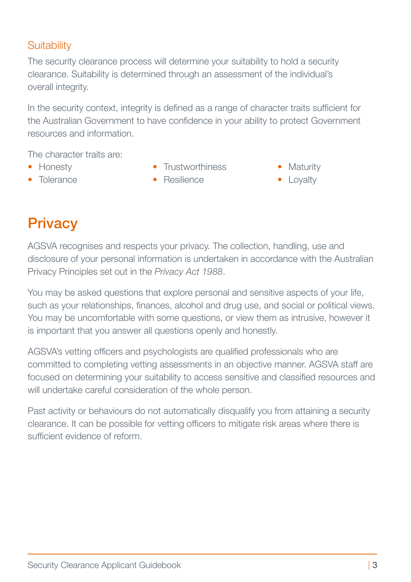### **Suitability**

The security clearance process will determine your suitability to hold a security clearance. Suitability is determined through an assessment of the individual's overall integrity.

In the security context, integrity is defined as a range of character traits sufficient for the Australian Government to have confidence in your ability to protect Government resources and information.

The character traits are:

- 
- Tolerance • Resilience • Loyalty
- Honesty Trustworthiness Maturity
- -

# **Privacy**

AGSVA recognises and respects your privacy. The collection, handling, use and disclosure of your personal information is undertaken in accordance with the Australian Privacy Principles set out in the *Privacy Act 1988*.

You may be asked questions that explore personal and sensitive aspects of your life, such as your relationships, finances, alcohol and drug use, and social or political views. You may be uncomfortable with some questions, or view them as intrusive, however it is important that you answer all questions openly and honestly.

AGSVA's vetting officers and psychologists are qualified professionals who are committed to completing vetting assessments in an objective manner. AGSVA staff are focused on determining your suitability to access sensitive and classified resources and will undertake careful consideration of the whole person.

Past activity or behaviours do not automatically disqualify you from attaining a security clearance. It can be possible for vetting officers to mitigate risk areas where there is sufficient evidence of reform.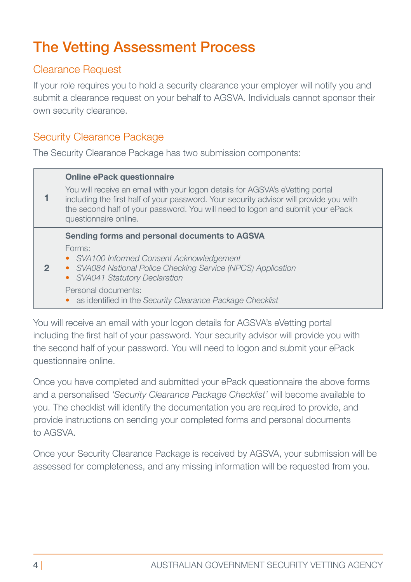# The Vetting Assessment Process

### Clearance Request

If your role requires you to hold a security clearance your employer will notify you and submit a clearance request on your behalf to AGSVA. Individuals cannot sponsor their own security clearance.

### Security Clearance Package

The Security Clearance Package has two submission components:

|   | <b>Online ePack questionnaire</b><br>You will receive an email with your logon details for AGSVA's eVetting portal<br>including the first half of your password. Your security advisor will provide you with<br>the second half of your password. You will need to logon and submit your ePack<br>questionnaire online. |
|---|-------------------------------------------------------------------------------------------------------------------------------------------------------------------------------------------------------------------------------------------------------------------------------------------------------------------------|
| 2 | Sending forms and personal documents to AGSVA<br>Forms:<br>• SVA100 Informed Consent Acknowledgement<br>• SVA084 National Police Checking Service (NPCS) Application<br>• SVA041 Statutory Declaration<br>Personal documents:<br>• as identified in the Security Clearance Package Checklist                            |

You will receive an email with your logon details for AGSVA's eVetting portal including the first half of your password. Your security advisor will provide you with the second half of your password. You will need to logon and submit your ePack questionnaire online.

Once you have completed and submitted your ePack questionnaire the above forms and a personalised *'Security Clearance Package Checklist'* will become available to you. The checklist will identify the documentation you are required to provide, and provide instructions on sending your completed forms and personal documents to AGSVA.

Once your Security Clearance Package is received by AGSVA, your submission will be assessed for completeness, and any missing information will be requested from you.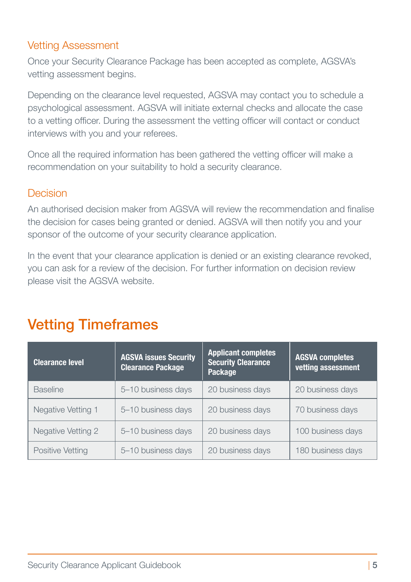### Vetting Assessment

Once your Security Clearance Package has been accepted as complete, AGSVA's vetting assessment begins.

Depending on the clearance level requested, AGSVA may contact you to schedule a psychological assessment. AGSVA will initiate external checks and allocate the case to a vetting officer. During the assessment the vetting officer will contact or conduct interviews with you and your referees.

Once all the required information has been gathered the vetting officer will make a recommendation on your suitability to hold a security clearance.

#### Decision

An authorised decision maker from AGSVA will review the recommendation and finalise the decision for cases being granted or denied. AGSVA will then notify you and your sponsor of the outcome of your security clearance application.

In the event that your clearance application is denied or an existing clearance revoked, you can ask for a review of the decision. For further information on decision review please visit the AGSVA website.

### Vetting Timeframes

| <b>Clearance level</b> | <b>AGSVA issues Security</b><br><b>Clearance Package</b> | <b>Applicant completes</b><br><b>Security Clearance</b><br><b>Package</b> |                   |
|------------------------|----------------------------------------------------------|---------------------------------------------------------------------------|-------------------|
| <b>Baseline</b>        | 5-10 business days                                       | 20 business days                                                          | 20 business days  |
| Negative Vetting 1     | 5-10 business days                                       | 20 business days                                                          | 70 business days  |
| Negative Vetting 2     | 5-10 business days                                       | 20 business days                                                          | 100 business days |
| Positive Vetting       | 5-10 business days                                       | 20 business days                                                          | 180 business days |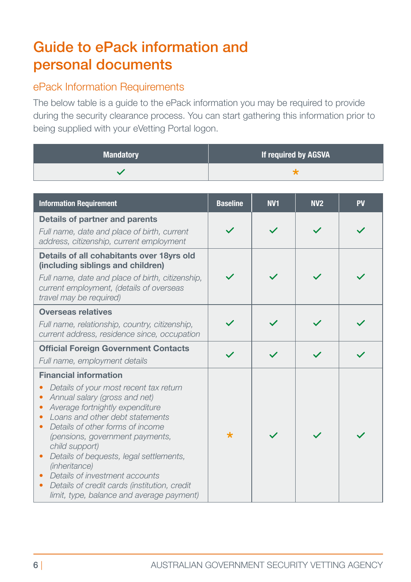## Guide to ePack information and personal documents

### ePack Information Requirements

The below table is a guide to the ePack information you may be required to provide during the security clearance process. You can start gathering this information prior to being supplied with your eVetting Portal logon.

| <b>Mandatory</b> | If required by AGSVA |
|------------------|----------------------|
|                  |                      |

| <b>Information Requirement</b>                                                                                                                                                                                                                                                                                                                                                                                                                                                           | <b>Baseline</b> | <b>NV1</b> | N <sub>2</sub> | <b>PV</b> |
|------------------------------------------------------------------------------------------------------------------------------------------------------------------------------------------------------------------------------------------------------------------------------------------------------------------------------------------------------------------------------------------------------------------------------------------------------------------------------------------|-----------------|------------|----------------|-----------|
| Details of partner and parents<br>Full name, date and place of birth, current<br>address, citizenship, current employment                                                                                                                                                                                                                                                                                                                                                                |                 |            |                |           |
| Details of all cohabitants over 18yrs old<br>(including siblings and children)<br>Full name, date and place of birth, citizenship,<br>current employment, (details of overseas<br>travel may be required)                                                                                                                                                                                                                                                                                |                 |            |                |           |
| <b>Overseas relatives</b><br>Full name, relationship, country, citizenship,<br>current address, residence since, occupation                                                                                                                                                                                                                                                                                                                                                              |                 |            |                |           |
| <b>Official Foreign Government Contacts</b><br>Full name, employment details                                                                                                                                                                                                                                                                                                                                                                                                             |                 |            |                |           |
| <b>Financial information</b><br>Details of your most recent tax return<br>Annual salary (gross and net)<br>Average fortnightly expenditure<br>$\bullet$<br>Loans and other debt statements<br>Details of other forms of income<br>٠<br>(pensions, government payments,<br>child support)<br>Details of bequests, legal settlements,<br>(inheritance)<br>Details of investment accounts<br>Details of credit cards (institution, credit<br>۰<br>limit, type, balance and average payment) | $\star$         |            |                |           |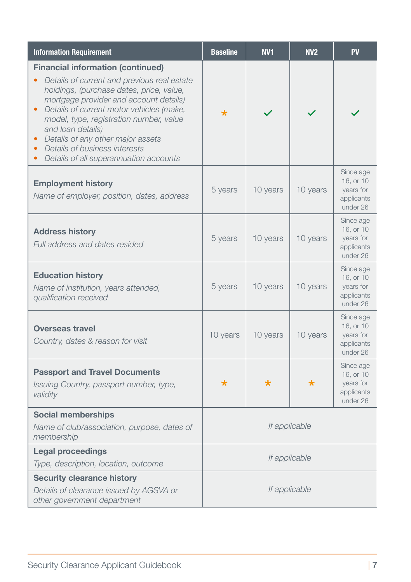| <b>Information Requirement</b>                                                                                                                                                                                                                                                                                                                                                                                         | <b>Baseline</b> | <b>NV1</b> | <b>NV2</b> | PV                                                            |
|------------------------------------------------------------------------------------------------------------------------------------------------------------------------------------------------------------------------------------------------------------------------------------------------------------------------------------------------------------------------------------------------------------------------|-----------------|------------|------------|---------------------------------------------------------------|
| <b>Financial information (continued)</b><br>Details of current and previous real estate<br>holdings, (purchase dates, price, value,<br>mortgage provider and account details)<br>Details of current motor vehicles (make,<br>model, type, registration number, value<br>and loan details)<br>Details of any other major assets<br>Details of business interests<br>$\bullet$<br>Details of all superannuation accounts | *               |            |            |                                                               |
| <b>Employment history</b><br>Name of employer, position, dates, address                                                                                                                                                                                                                                                                                                                                                | 5 years         | 10 years   | 10 years   | Since age<br>16, or 10<br>years for<br>applicants<br>under 26 |
| <b>Address history</b><br>Full address and dates resided                                                                                                                                                                                                                                                                                                                                                               | 5 years         | 10 years   | 10 years   | Since age<br>16, or 10<br>years for<br>applicants<br>under 26 |
| <b>Education history</b><br>Name of institution, years attended,<br>qualification received                                                                                                                                                                                                                                                                                                                             | 5 years         | 10 years   | 10 years   | Since age<br>16, or 10<br>years for<br>applicants<br>under 26 |
| <b>Overseas travel</b><br>Country, dates & reason for visit                                                                                                                                                                                                                                                                                                                                                            | 10 years        | 10 years   | 10 years   | Since age<br>16, or 10<br>years for<br>applicants<br>under 26 |
| <b>Passport and Travel Documents</b><br>Issuing Country, passport number, type,<br>validity                                                                                                                                                                                                                                                                                                                            | $\star$         | $\star$    | $\star$    | Since age<br>16, or 10<br>years for<br>applicants<br>under 26 |
| <b>Social memberships</b><br>Name of club/association, purpose, dates of<br>membership                                                                                                                                                                                                                                                                                                                                 | If applicable   |            |            |                                                               |
| <b>Legal proceedings</b><br>Type, description, location, outcome                                                                                                                                                                                                                                                                                                                                                       | If applicable   |            |            |                                                               |
| <b>Security clearance history</b><br>Details of clearance issued by AGSVA or<br>other government department                                                                                                                                                                                                                                                                                                            | If applicable   |            |            |                                                               |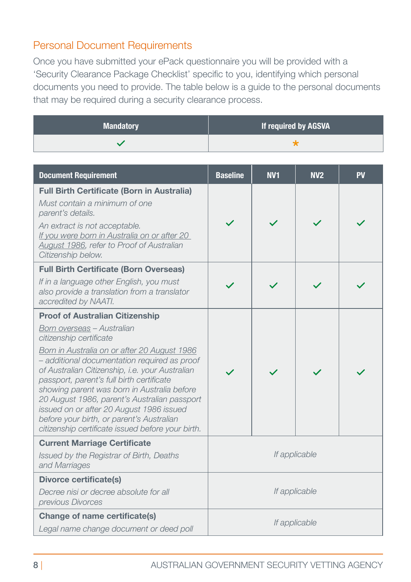### Personal Document Requirements

Once you have submitted your ePack questionnaire you will be provided with a 'Security Clearance Package Checklist' specific to you, identifying which personal documents you need to provide. The table below is a guide to the personal documents that may be required during a security clearance process.

| <b>Mandatory</b> | If required by AGSVA |
|------------------|----------------------|
|                  |                      |

| <b>Document Requirement</b>                                                                                                                                                                                                                                                                                                                                                                                                                                                                                                                  | <b>Baseline</b> | <b>NV1</b> | N <sub>2</sub> | <b>PV</b> |
|----------------------------------------------------------------------------------------------------------------------------------------------------------------------------------------------------------------------------------------------------------------------------------------------------------------------------------------------------------------------------------------------------------------------------------------------------------------------------------------------------------------------------------------------|-----------------|------------|----------------|-----------|
| <b>Full Birth Certificate (Born in Australia)</b><br>Must contain a minimum of one<br>parent's details.<br>An extract is not acceptable.<br>If you were born in Australia on or after 20<br>August 1986, refer to Proof of Australian<br>Citizenship below.                                                                                                                                                                                                                                                                                  |                 |            |                |           |
| <b>Full Birth Certificate (Born Overseas)</b><br>If in a language other English, you must<br>also provide a translation from a translator<br>accredited by NAATI.                                                                                                                                                                                                                                                                                                                                                                            |                 |            |                |           |
| <b>Proof of Australian Citizenship</b><br>Born overseas - Australian<br>citizenship certificate<br>Born in Australia on or after 20 August 1986<br>- additional documentation required as proof<br>of Australian Citizenship, i.e. your Australian<br>passport, parent's full birth certificate<br>showing parent was born in Australia before<br>20 August 1986, parent's Australian passport<br>issued on or after 20 August 1986 issued<br>before your birth, or parent's Australian<br>citizenship certificate issued before your birth. |                 |            |                |           |
| <b>Current Marriage Certificate</b><br>Issued by the Registrar of Birth, Deaths<br>and Marriages                                                                                                                                                                                                                                                                                                                                                                                                                                             | If applicable   |            |                |           |
| <b>Divorce certificate(s)</b><br>Decree nisi or decree absolute for all<br>previous Divorces                                                                                                                                                                                                                                                                                                                                                                                                                                                 | If applicable   |            |                |           |
| Change of name certificate(s)<br>Legal name change document or deed poll                                                                                                                                                                                                                                                                                                                                                                                                                                                                     | If applicable   |            |                |           |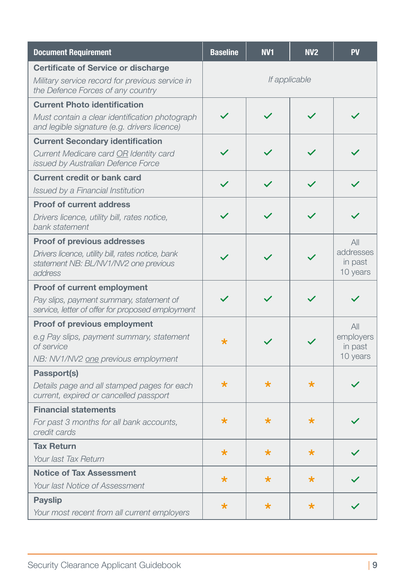| <b>Document Requirement</b>                                                                                                                 | <b>Baseline</b> | <b>NV1</b>   | <b>NV2</b>   | PV                                      |
|---------------------------------------------------------------------------------------------------------------------------------------------|-----------------|--------------|--------------|-----------------------------------------|
| <b>Certificate of Service or discharge</b><br>Military service record for previous service in<br>the Defence Forces of any country          | If applicable   |              |              |                                         |
| <b>Current Photo identification</b><br>Must contain a clear identification photograph<br>and legible signature (e.g. drivers licence)       | $\checkmark$    |              |              |                                         |
| <b>Current Secondary identification</b><br>Current Medicare card OR Identity card<br>issued by Australian Defence Force                     |                 |              |              |                                         |
| <b>Current credit or bank card</b><br>Issued by a Financial Institution                                                                     | $\checkmark$    | $\checkmark$ | $\checkmark$ |                                         |
| <b>Proof of current address</b><br>Drivers licence, utility bill, rates notice,<br>bank statement                                           |                 |              |              |                                         |
| <b>Proof of previous addresses</b><br>Drivers licence, utility bill, rates notice, bank<br>statement NB: BL/NV1/NV2 one previous<br>address |                 |              |              | All<br>addresses<br>in past<br>10 years |
| Proof of current employment<br>Pay slips, payment summary, statement of<br>service, letter of offer for proposed employment                 |                 |              |              |                                         |
| <b>Proof of previous employment</b><br>e.g Pay slips, payment summary, statement<br>of service<br>NB: NV1/NV2 one previous employment       | $\star$         |              |              | All<br>employers<br>in past<br>10 years |
| Passport(s)<br>Details page and all stamped pages for each<br>current, expired or cancelled passport                                        | $\star$         | $\star$      | $\star$      |                                         |
| <b>Financial statements</b><br>For past 3 months for all bank accounts,<br>credit cards                                                     | $\star$         | $\star$      | $\star$      |                                         |
| <b>Tax Return</b><br>Your last Tax Return                                                                                                   | $\star$         | $\star$      | $\star$      |                                         |
| <b>Notice of Tax Assessment</b><br>Your last Notice of Assessment                                                                           | *               | *            | $\star$      |                                         |
| <b>Payslip</b><br>Your most recent from all current employers                                                                               | *               | $\star$      | *            |                                         |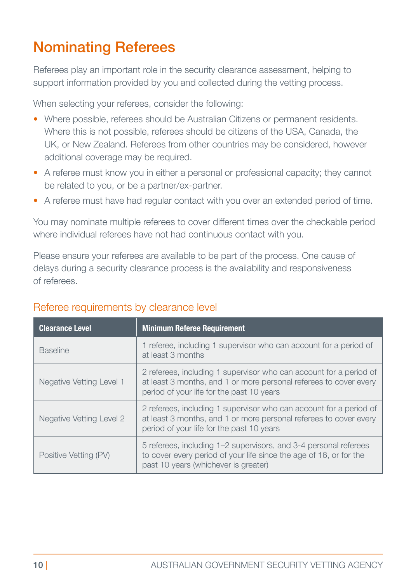# Nominating Referees

Referees play an important role in the security clearance assessment, helping to support information provided by you and collected during the vetting process.

When selecting your referees, consider the following:

- Where possible, referees should be Australian Citizens or permanent residents. Where this is not possible, referees should be citizens of the USA, Canada, the UK, or New Zealand. Referees from other countries may be considered, however additional coverage may be required.
- A referee must know you in either a personal or professional capacity; they cannot be related to you, or be a partner/ex-partner.
- A referee must have had regular contact with you over an extended period of time.

You may nominate multiple referees to cover different times over the checkable period where individual referees have not had continuous contact with you.

Please ensure your referees are available to be part of the process. One cause of delays during a security clearance process is the availability and responsiveness of referees.

| <b>Clearance Level</b>   | <b>Minimum Referee Requirement</b>                                                                                                                                                   |
|--------------------------|--------------------------------------------------------------------------------------------------------------------------------------------------------------------------------------|
| <b>Baseline</b>          | 1 referee, including 1 supervisor who can account for a period of<br>at least 3 months                                                                                               |
| Negative Vetting Level 1 | 2 referees, including 1 supervisor who can account for a period of<br>at least 3 months, and 1 or more personal referees to cover every<br>period of your life for the past 10 years |
| Negative Vetting Level 2 | 2 referees, including 1 supervisor who can account for a period of<br>at least 3 months, and 1 or more personal referees to cover every<br>period of your life for the past 10 years |
| Positive Vetting (PV)    | 5 referees, including 1–2 supervisors, and 3-4 personal referees<br>to cover every period of your life since the age of 16, or for the<br>past 10 years (whichever is greater)       |

### Referee requirements by clearance level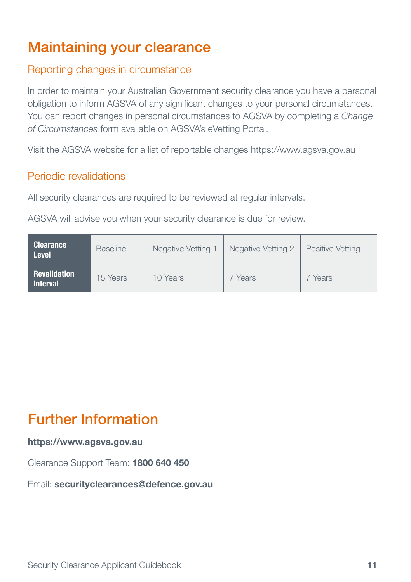# Maintaining your clearance

### Reporting changes in circumstance

In order to maintain your Australian Government security clearance you have a personal obligation to inform AGSVA of any significant changes to your personal circumstances. You can report changes in personal circumstances to AGSVA by completing a *[Change](https://www1.defence.gov.au/Security/Clearances/Resources)  [of Circumstances](https://www1.defence.gov.au/Security/Clearances/Resources)* form available on AGSVA's eVetting Portal.

Visit the AGSVA website for a list of reportable changes https://www.agsva.gov.au

### Periodic revalidations

All security clearances are required to be reviewed at regular intervals.

AGSVA will advise you when your security clearance is due for review.

| <b>Clearance</b><br><b>Level</b>       | <b>Baseline</b> | Negative Vetting 1 | Negative Vetting 2 | Positive Vetting |
|----------------------------------------|-----------------|--------------------|--------------------|------------------|
| <b>Revalidation</b><br><b>Interval</b> | 15 Years        | 10 Years           | Years <sup>'</sup> | 7 Years          |

# Further Information

#### **https://www.agsva.gov.au**

Clearance Support Team: **1800 640 450**

Email: **[securityclearances@defence.gov.au](mailto:securityclearances@defence.gov.au)**